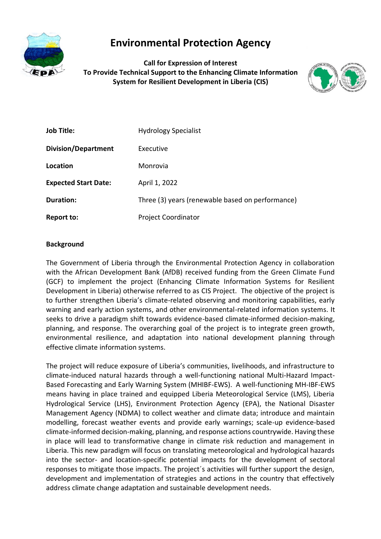

# **Environmental Protection Agency**

**Call for Expression of Interest To Provide Technical Support to the Enhancing Climate Information System for Resilient Development in Liberia (CIS)**



| <b>Job Title:</b>           | <b>Hydrology Specialist</b>                      |
|-----------------------------|--------------------------------------------------|
| <b>Division/Department</b>  | Executive                                        |
| Location                    | Monrovia                                         |
| <b>Expected Start Date:</b> | April 1, 2022                                    |
| <b>Duration:</b>            | Three (3) years (renewable based on performance) |
| <b>Report to:</b>           | <b>Project Coordinator</b>                       |

#### **Background**

The Government of Liberia through the Environmental Protection Agency in collaboration with the African Development Bank (AfDB) received funding from the Green Climate Fund (GCF) to implement the project (Enhancing Climate Information Systems for Resilient Development in Liberia) otherwise referred to as CIS Project. The objective of the project is to further strengthen Liberia's climate-related observing and monitoring capabilities, early warning and early action systems, and other environmental-related information systems. It seeks to drive a paradigm shift towards evidence-based climate-informed decision-making, planning, and response. The overarching goal of the project is to integrate green growth, environmental resilience, and adaptation into national development planning through effective climate information systems.

The project will reduce exposure of Liberia's communities, livelihoods, and infrastructure to climate-induced natural hazards through a well-functioning national Multi-Hazard Impact-Based Forecasting and Early Warning System (MHIBF-EWS). A well-functioning MH-IBF-EWS means having in place trained and equipped Liberia Meteorological Service (LMS), Liberia Hydrological Service (LHS), Environment Protection Agency (EPA), the National Disaster Management Agency (NDMA) to collect weather and climate data; introduce and maintain modelling, forecast weather events and provide early warnings; scale-up evidence-based climate-informed decision-making, planning, and response actions countrywide. Having these in place will lead to transformative change in climate risk reduction and management in Liberia. This new paradigm will focus on translating meteorological and hydrological hazards into the sector- and location-specific potential impacts for the development of sectoral responses to mitigate those impacts. The project´s activities will further support the design, development and implementation of strategies and actions in the country that effectively address climate change adaptation and sustainable development needs.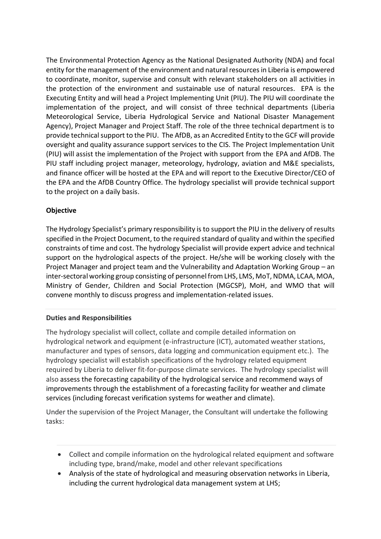The Environmental Protection Agency as the National Designated Authority (NDA) and focal entity for the management of the environment and natural resources in Liberia is empowered to coordinate, monitor, supervise and consult with relevant stakeholders on all activities in the protection of the environment and sustainable use of natural resources. EPA is the Executing Entity and will head a Project Implementing Unit (PIU). The PIU will coordinate the implementation of the project, and will consist of three technical departments (Liberia Meteorological Service, Liberia Hydrological Service and National Disaster Management Agency), Project Manager and Project Staff. The role of the three technical department is to provide technical support to the PIU. The AfDB, as an Accredited Entity to the GCF will provide oversight and quality assurance support services to the CIS. The Project Implementation Unit (PIU) will assist the implementation of the Project with support from the EPA and AfDB. The PIU staff including project manager, meteorology, hydrology, aviation and M&E specialists, and finance officer will be hosted at the EPA and will report to the Executive Director/CEO of the EPA and the AfDB Country Office. The hydrology specialist will provide technical support to the project on a daily basis.

## **Objective**

The Hydrology Specialist's primary responsibility is to support the PIU in the delivery of results specified in the Project Document, to the required standard of quality and within the specified constraints of time and cost. The hydrology Specialist will provide expert advice and technical support on the hydrological aspects of the project. He/she will be working closely with the Project Manager and project team and the Vulnerability and Adaptation Working Group – an inter-sectoral working group consisting of personnel from LHS, LMS, MoT, NDMA, LCAA, MOA, Ministry of Gender, Children and Social Protection (MGCSP), MoH, and WMO that will convene monthly to discuss progress and implementation-related issues.

## **Duties and Responsibilities**

The hydrology specialist will collect, collate and compile detailed information on hydrological network and equipment (e-infrastructure (ICT), automated weather stations, manufacturer and types of sensors, data logging and communication equipment etc.). The hydrology specialist will establish specifications of the hydrology related equipment required by Liberia to deliver fit-for-purpose climate services. The hydrology specialist will also assess the forecasting capability of the hydrological service and recommend ways of improvements through the establishment of a forecasting facility for weather and climate services (including forecast verification systems for weather and climate).

Under the supervision of the Project Manager, the Consultant will undertake the following tasks:

- Collect and compile information on the hydrological related equipment and software including type, brand/make, model and other relevant specifications
- Analysis of the state of hydrological and measuring observation networks in Liberia, including the current hydrological data management system at LHS;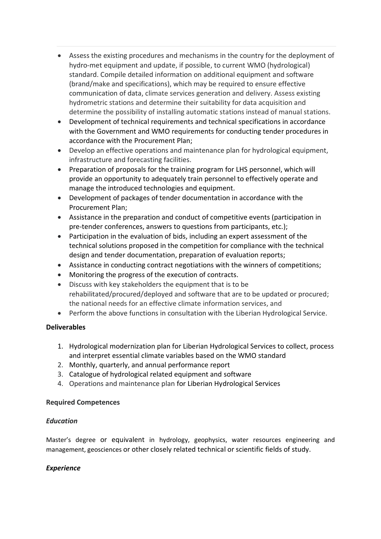- Assess the existing procedures and mechanisms in the country for the deployment of hydro-met equipment and update, if possible, to current WMO (hydrological) standard. Compile detailed information on additional equipment and software (brand/make and specifications), which may be required to ensure effective communication of data, climate services generation and delivery. Assess existing hydrometric stations and determine their suitability for data acquisition and determine the possibility of installing automatic stations instead of manual stations.
- Development of technical requirements and technical specifications in accordance with the Government and WMO requirements for conducting tender procedures in accordance with the Procurement Plan;
- Develop an effective operations and maintenance plan for hydrological equipment, infrastructure and forecasting facilities.
- Preparation of proposals for the training program for LHS personnel, which will provide an opportunity to adequately train personnel to effectively operate and manage the introduced technologies and equipment.
- Development of packages of tender documentation in accordance with the Procurement Plan;
- Assistance in the preparation and conduct of competitive events (participation in pre-tender conferences, answers to questions from participants, etc.);
- Participation in the evaluation of bids, including an expert assessment of the technical solutions proposed in the competition for compliance with the technical design and tender documentation, preparation of evaluation reports;
- Assistance in conducting contract negotiations with the winners of competitions;
- Monitoring the progress of the execution of contracts.
- Discuss with key stakeholders the equipment that is to be rehabilitated/procured/deployed and software that are to be updated or procured; the national needs for an effective climate information services, and
- Perform the above functions in consultation with the Liberian Hydrological Service.

## **Deliverables**

- 1. Hydrological modernization plan for Liberian Hydrological Services to collect, process and interpret essential climate variables based on the WMO standard
- 2. Monthly, quarterly, and annual performance report
- 3. Catalogue of hydrological related equipment and software
- 4. Operations and maintenance plan for Liberian Hydrological Services

#### **Required Competences**

## *Education*

Master's degree or equivalent in hydrology, geophysics, water resources engineering and management, geosciences or other closely related technical or scientific fields of study.

## *Experience*